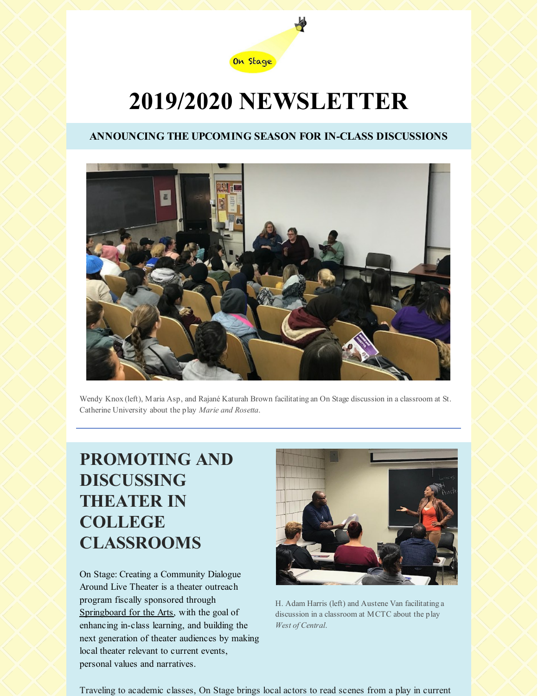

# **2019/2020 NEWSLETTER**

#### **ANNOUNCING THE UPCOMING SEASON FOR IN-CLASS DISCUSSIONS**



Wendy Knox(left), Maria Asp, and Rajané Katurah Brown facilitatingan On Stage discussion in a classroom at St. Catherine University about the play *Marie and Rosetta*.

## **PROMOTING AND DISCUSSING THEATER IN COLLEGE CLASSROOMS**

On Stage: Creating a Community Dialogue Around Live Theater is a theater outreach program fiscally sponsored through [Springboard](https://springboardforthearts.org) for the Arts, with the goal of enhancing in-class learning, and building the next generation of theater audiences by making local theater relevant to current events, personal values and narratives.



H. Adam Harris (left) and Austene Van facilitatinga discussion in a classroom at MCTC about the play *West of Central*.

Traveling to academic classes, On Stage brings local actors to read scenes from a play in current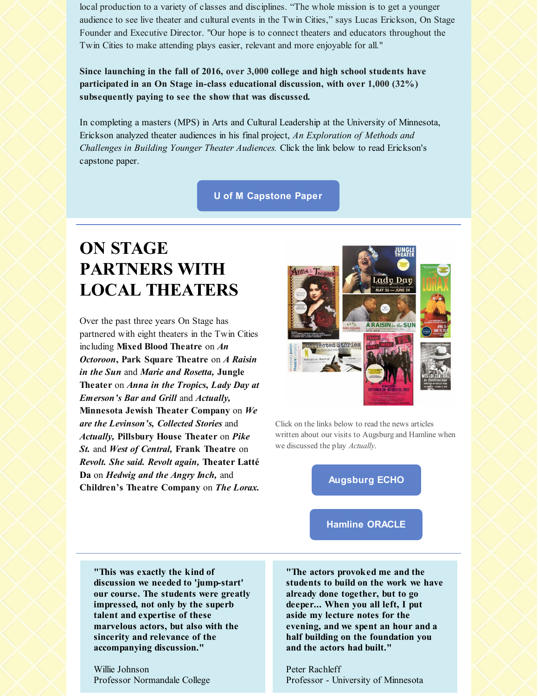local production to a variety of classes and disciplines. "The whole mission is to get a younger audience to see live theater and cultural events in the Twin Cities," says Lucas Erickson, On Stage Founder and Executive Director. "Our hope is to connect theaters and educators throughout the Twin Cities to make attending plays easier, relevant and more enjoyable for all."

**Since launching in the fall of 2016, over 3,000 college and high school students have participated in an On Stage in-class educational discussion, with over 1,000 (32%) subsequently paying to see the show that was discussed.**

In completing a masters (MPS) in Arts and Cultural Leadership at the University of Minnesota, Erickson analyzed theater audiences in his final project, *An Exploration of Methods and Challenges in Building Younger Theater Audiences.* Click the link below to read Erickson's capstone paper.

**U of M [Capstone](https://conservancy.umn.edu/handle/11299/196778) Paper**

# **ON STAGE PARTNERS WITH LOCAL THEATERS**

Over the past three years On Stage has partnered with eight theaters in the Twin Cities including **Mixed Blood Theatre** on *An Octoroon***, Park Square Theatre** on *A Raisin in the Sun* and *Marie and Rosetta,* **Jungle Theater** on *Anna in the Tropics***,** *Lady Day at Emerson's Bar and Grill* and *Actually,* **Minnesota Jewish Theater Company** on *We are the Levinson's, Collected Stories* and *Actually,* **Pillsbury House Theater** on *Pike St.* and *West of Central,* **Frank Theatre** on *Revolt. She said. Revolt again,* **Theater Latté Da** on *Hedwig and the Angry Inch,* and **Children's Theatre Company** on *The Lorax.*



Click on the links below to read the news articles written about our visits to Augsburgand Hamline when we discussed the play *Actually*.

**[Augsburg](https://files.constantcontact.com/1d536ee6701/b71937a8-68d6-4e08-bd87-0b639b21c82a.pdf) ECHO**

**Hamline [ORACLE](https://files.constantcontact.com/1d536ee6701/02dfac33-d92a-42f4-b3f3-f62c3f319f95.pdf)**

**"This was exactly the kind of discussion we needed to 'jump-start' our course. The students were greatly impressed, not only by the superb talent and expertise of these marvelous actors, but also with the sincerity and relevance of the accompanying discussion."**

Willie Johnson Professor Normandale College

**"The actors provoked me and the students to build on the work we have already done together, but to go deeper... When you all left, I put aside my lecture notes for the evening, and we spent an hour and a half building on the foundation you and the actors had built."**

Peter Rachleff Professor - University of Minnesota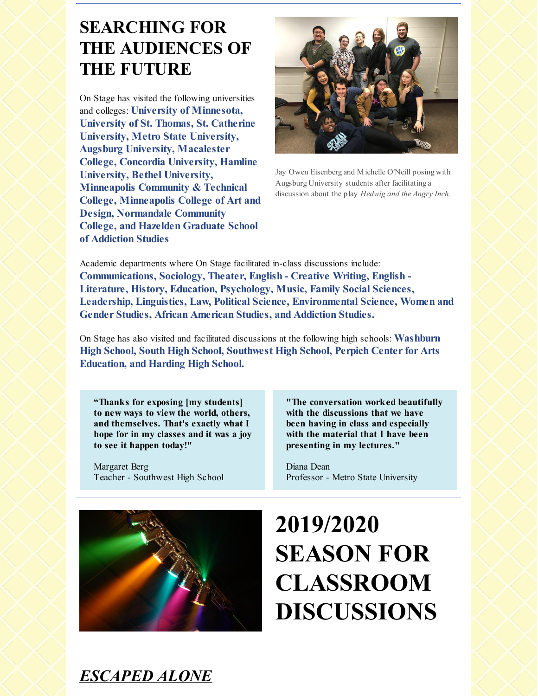## **SEARCHING FOR THE AUDIENCES OF THE FUTURE**

On Stage has visited the following universities and colleges: **University of Minnesota, University of St. Thomas, St. Catherine University, Metro State University, Augsburg University, Macalester College, Concordia University, Hamline University, Bethel University, Minneapolis Community & Technical College, Minneapolis College of Art and Design, Normandale Community College, and Hazelden Graduate School of Addiction Studies**



Jay Owen Eisenbergand Michelle O'Neill posing with Augsburg University students after facilitatinga discussion about the play *Hedwig and the Angry Inch.*

Academic departments where On Stage facilitated in-class discussions include: **Communications, Sociology, Theater, English - Creative Writing, English - Literature, History, Education, Psychology, Music, Family Social Sciences, Leadership, Linguistics, Law, Political Science, Environmental Science, Women and Gender Studies, African American Studies, and Addiction Studies.**

On Stage has also visited and facilitated discussions at the following high schools: **Washburn High School, South High School, Southwest High School, Perpich Center for Arts Education, and Harding High School.**

**"Thanks for exposing [my students] to new ways to view the world, others, and themselves. That's exactly what I hope for in my classes and it was a joy to see it happen today!"**

Margaret Berg Teacher - Southwest High School

**"The conversation worked beautifully with the discussions that we have been having in class and especially with the material that I have been presenting in my lectures."**

Diana Dean Professor - Metro State University



# **2019/2020 SEASON FOR CLASSROOM DISCUSSIONS**

## *[ESCAPED](http://franktheatre.org) ALONE*